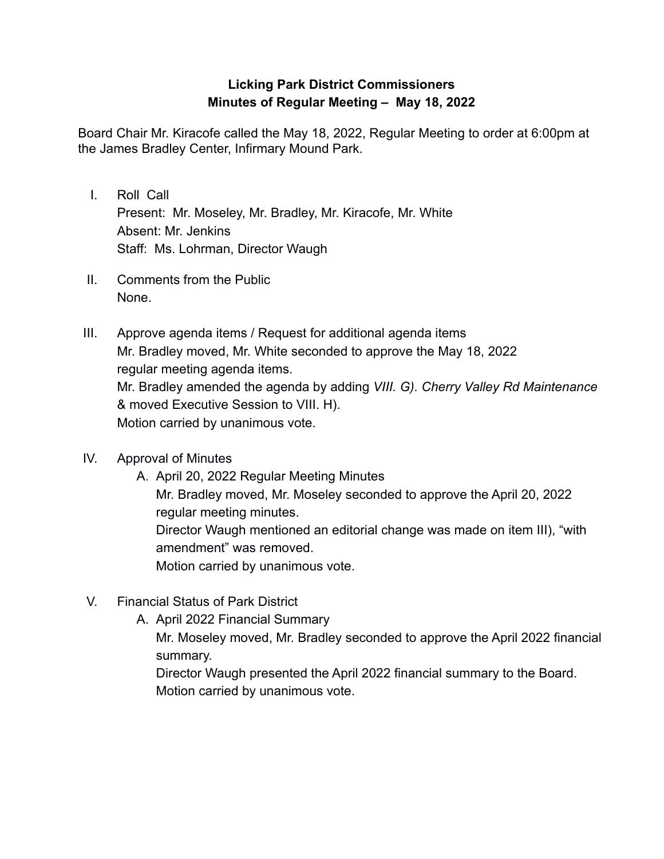## **Licking Park District Commissioners Minutes of Regular Meeting – May 18, 2022**

Board Chair Mr. Kiracofe called the May 18, 2022, Regular Meeting to order at 6:00pm at the James Bradley Center, Infirmary Mound Park.

- I. Roll Call Present: Mr. Moseley, Mr. Bradley, Mr. Kiracofe, Mr. White Absent: Mr. Jenkins Staff: Ms. Lohrman, Director Waugh
- II. Comments from the Public None.
- III. Approve agenda items / Request for additional agenda items Mr. Bradley moved, Mr. White seconded to approve the May 18, 2022 regular meeting agenda items. Mr. Bradley amended the agenda by adding *VIII. G). Cherry Valley Rd Maintenance* & moved Executive Session to VIII. H). Motion carried by unanimous vote.
- IV. Approval of Minutes
	- A. April 20, 2022 Regular Meeting Minutes Mr. Bradley moved, Mr. Moseley seconded to approve the April 20, 2022 regular meeting minutes. Director Waugh mentioned an editorial change was made on item III), "with amendment" was removed. Motion carried by unanimous vote.
- V. Financial Status of Park District
	- A. April 2022 Financial Summary

Mr. Moseley moved, Mr. Bradley seconded to approve the April 2022 financial summary.

Director Waugh presented the April 2022 financial summary to the Board. Motion carried by unanimous vote.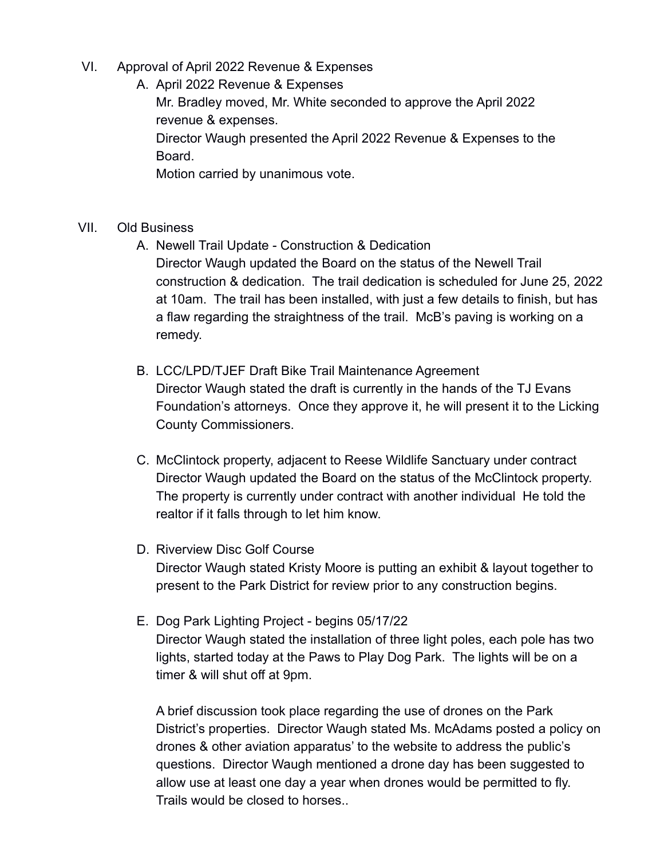VI. Approval of April 2022 Revenue & Expenses

A. April 2022 Revenue & Expenses Mr. Bradley moved, Mr. White seconded to approve the April 2022 revenue & expenses. Director Waugh presented the April 2022 Revenue & Expenses to the Board.

Motion carried by unanimous vote.

- VII. Old Business
	- A. Newell Trail Update Construction & Dedication Director Waugh updated the Board on the status of the Newell Trail construction & dedication. The trail dedication is scheduled for June 25, 2022 at 10am. The trail has been installed, with just a few details to finish, but has a flaw regarding the straightness of the trail. McB's paving is working on a remedy.
	- B. LCC/LPD/TJEF Draft Bike Trail Maintenance Agreement Director Waugh stated the draft is currently in the hands of the TJ Evans Foundation's attorneys. Once they approve it, he will present it to the Licking County Commissioners.
	- C. McClintock property, adjacent to Reese Wildlife Sanctuary under contract Director Waugh updated the Board on the status of the McClintock property. The property is currently under contract with another individual He told the realtor if it falls through to let him know.
	- D. Riverview Disc Golf Course Director Waugh stated Kristy Moore is putting an exhibit & layout together to present to the Park District for review prior to any construction begins.
	- E. Dog Park Lighting Project begins 05/17/22 Director Waugh stated the installation of three light poles, each pole has two lights, started today at the Paws to Play Dog Park. The lights will be on a timer & will shut off at 9pm.

A brief discussion took place regarding the use of drones on the Park District's properties. Director Waugh stated Ms. McAdams posted a policy on drones & other aviation apparatus' to the website to address the public's questions. Director Waugh mentioned a drone day has been suggested to allow use at least one day a year when drones would be permitted to fly. Trails would be closed to horses..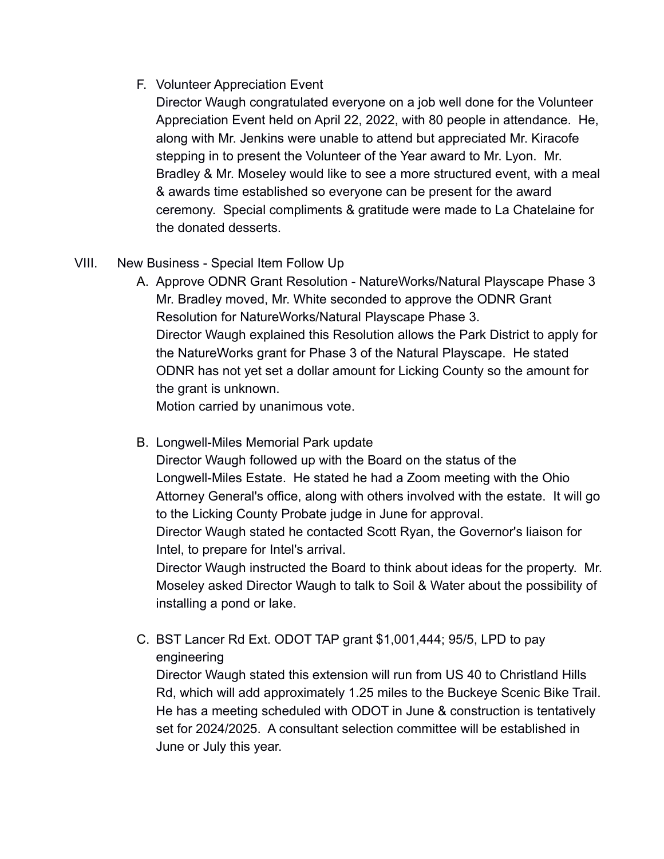F. Volunteer Appreciation Event

Director Waugh congratulated everyone on a job well done for the Volunteer Appreciation Event held on April 22, 2022, with 80 people in attendance. He, along with Mr. Jenkins were unable to attend but appreciated Mr. Kiracofe stepping in to present the Volunteer of the Year award to Mr. Lyon. Mr. Bradley & Mr. Moseley would like to see a more structured event, with a meal & awards time established so everyone can be present for the award ceremony. Special compliments & gratitude were made to La Chatelaine for the donated desserts.

- VIII. New Business Special Item Follow Up
	- A. Approve ODNR Grant Resolution NatureWorks/Natural Playscape Phase 3 Mr. Bradley moved, Mr. White seconded to approve the ODNR Grant Resolution for NatureWorks/Natural Playscape Phase 3. Director Waugh explained this Resolution allows the Park District to apply for the NatureWorks grant for Phase 3 of the Natural Playscape. He stated ODNR has not yet set a dollar amount for Licking County so the amount for the grant is unknown.

Motion carried by unanimous vote.

B. Longwell-Miles Memorial Park update

Director Waugh followed up with the Board on the status of the Longwell-Miles Estate. He stated he had a Zoom meeting with the Ohio Attorney General's office, along with others involved with the estate. It will go to the Licking County Probate judge in June for approval.

Director Waugh stated he contacted Scott Ryan, the Governor's liaison for Intel, to prepare for Intel's arrival.

Director Waugh instructed the Board to think about ideas for the property. Mr. Moseley asked Director Waugh to talk to Soil & Water about the possibility of installing a pond or lake.

C. BST Lancer Rd Ext. ODOT TAP grant \$1,001,444; 95/5, LPD to pay engineering

Director Waugh stated this extension will run from US 40 to Christland Hills Rd, which will add approximately 1.25 miles to the Buckeye Scenic Bike Trail. He has a meeting scheduled with ODOT in June & construction is tentatively set for 2024/2025. A consultant selection committee will be established in June or July this year.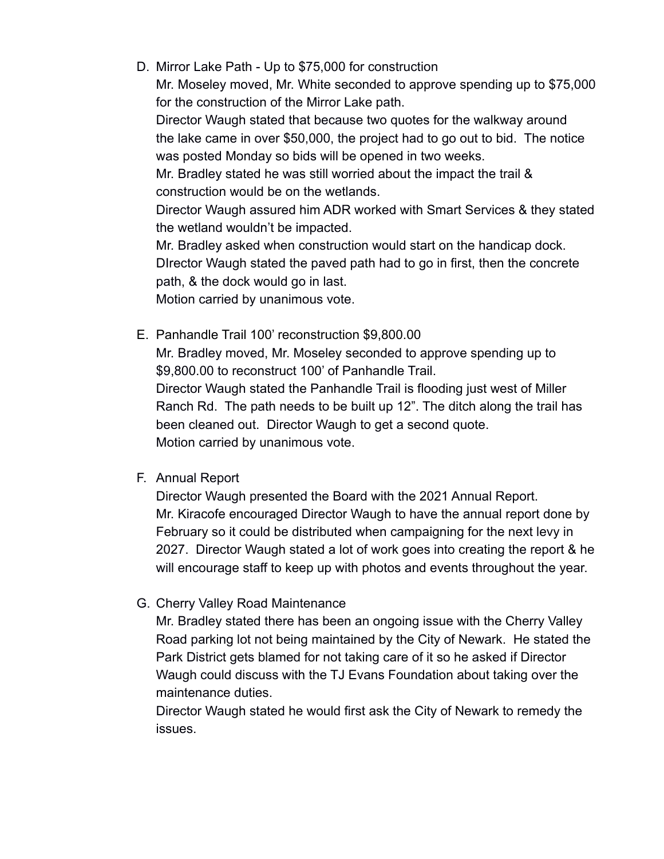D. Mirror Lake Path - Up to \$75,000 for construction

Mr. Moseley moved, Mr. White seconded to approve spending up to \$75,000 for the construction of the Mirror Lake path.

Director Waugh stated that because two quotes for the walkway around the lake came in over \$50,000, the project had to go out to bid. The notice was posted Monday so bids will be opened in two weeks.

Mr. Bradley stated he was still worried about the impact the trail & construction would be on the wetlands.

Director Waugh assured him ADR worked with Smart Services & they stated the wetland wouldn't be impacted.

Mr. Bradley asked when construction would start on the handicap dock. DIrector Waugh stated the paved path had to go in first, then the concrete path, & the dock would go in last.

Motion carried by unanimous vote.

E. Panhandle Trail 100' reconstruction \$9,800.00

Mr. Bradley moved, Mr. Moseley seconded to approve spending up to \$9,800.00 to reconstruct 100' of Panhandle Trail. Director Waugh stated the Panhandle Trail is flooding just west of Miller

Ranch Rd. The path needs to be built up 12". The ditch along the trail has been cleaned out. Director Waugh to get a second quote. Motion carried by unanimous vote.

F. Annual Report

Director Waugh presented the Board with the 2021 Annual Report. Mr. Kiracofe encouraged Director Waugh to have the annual report done by February so it could be distributed when campaigning for the next levy in 2027. Director Waugh stated a lot of work goes into creating the report & he will encourage staff to keep up with photos and events throughout the year.

G. Cherry Valley Road Maintenance

Mr. Bradley stated there has been an ongoing issue with the Cherry Valley Road parking lot not being maintained by the City of Newark. He stated the Park District gets blamed for not taking care of it so he asked if Director Waugh could discuss with the TJ Evans Foundation about taking over the maintenance duties.

Director Waugh stated he would first ask the City of Newark to remedy the issues.